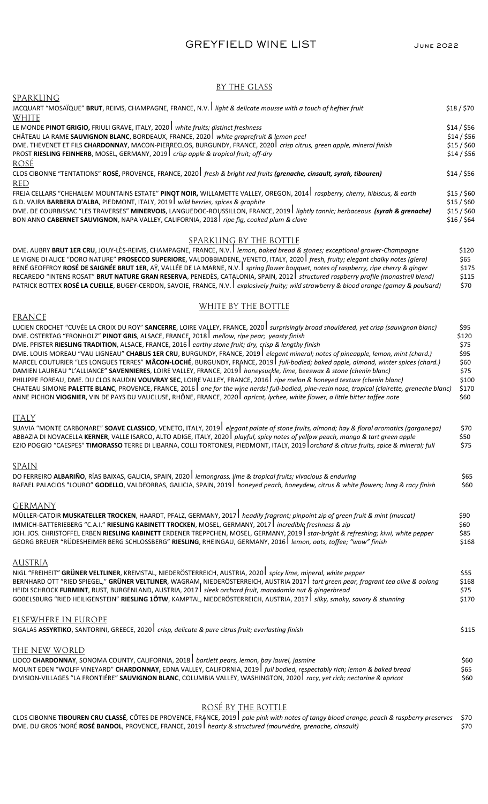# GREYFIELD WINE LIST JUNE 2022

## **BY THE GLASS**

| SPARKLING<br>JACQUART "MOSAÏQUE" BRUT, REIMS, CHAMPAGNE, FRANCE, N.V. I light & delicate mousse with a touch of heftier fruit                                                                                                                                                                                                                                                                                                                                                                                                                                                                                                                                                                                                                                                                                                                                                                                                                                                                                                                                                                                                                                                   | \$18/\$70                                                               |
|---------------------------------------------------------------------------------------------------------------------------------------------------------------------------------------------------------------------------------------------------------------------------------------------------------------------------------------------------------------------------------------------------------------------------------------------------------------------------------------------------------------------------------------------------------------------------------------------------------------------------------------------------------------------------------------------------------------------------------------------------------------------------------------------------------------------------------------------------------------------------------------------------------------------------------------------------------------------------------------------------------------------------------------------------------------------------------------------------------------------------------------------------------------------------------|-------------------------------------------------------------------------|
| WHITE<br>LE MONDE PINOT GRIGIO, FRIULI GRAVE, ITALY, 2020 white fruits; distinct freshness<br>CHÂTEAU LA RAME SAUVIGNON BLANC, BORDEAUX, FRANCE, 2020   white graprefruit & lemon peel<br>DME. THEVENET ET FILS CHARDONNAY, MACON-PIERRECLOS, BURGUNDY, FRANCE, 2020   crisp citrus, green apple, mineral finish<br>PROST RIESLING FEINHERB, MOSEL, GERMANY, 2019   crisp apple & tropical fruit; off-dry<br>ROSÉ                                                                                                                                                                                                                                                                                                                                                                                                                                                                                                                                                                                                                                                                                                                                                               | \$14/\$56<br>\$14/\$56<br>$$15/$ \$60<br>\$14/\$56                      |
| CLOS CIBONNE "TENTATIONS" ROSÉ, PROVENCE, FRANCE, 2020   fresh & bright red fruits (grenache, cinsault, syrah, tibouren)<br><b>RED</b>                                                                                                                                                                                                                                                                                                                                                                                                                                                                                                                                                                                                                                                                                                                                                                                                                                                                                                                                                                                                                                          | \$14/\$56                                                               |
| FREJA CELLARS "CHEHALEM MOUNTAINS ESTATE" PINQT NOIR, WILLAMETTE VALLEY, OREGON, 2014   raspberry, cherry, hibiscus, & earth<br>G.D. VAJRA BARBERA D'ALBA, PIEDMONT, ITALY, 2019   wild berries, spices & graphite<br>DME. DE COURBISSAC "LES TRAVERSES" MINERVOIS, LANGUEDOC-ROUSSILLON, FRANCE, 2019   lightly tannic; herbaceous (syrah & grenache)<br>BON ANNO CABERNET SAUVIGNON, NAPA VALLEY, CALIFORNIA, 2018   ripe fig, cooked plum & clove                                                                                                                                                                                                                                                                                                                                                                                                                                                                                                                                                                                                                                                                                                                            | $$15/$ \$60<br>\$15/\$60<br>\$15/\$60<br>\$16/\$64                      |
| SPARKLING BY THE BOTTLE<br>DME. AUBRY BRUT 1ER CRU, JOUY-LÈS-REIMS, CHAMPAGNE, FRANCE, N.V.   lemon, baked bread & stones; exceptional grower-Champagne<br>LE VIGNE DI ALICE "DORO NATURE" PROSECCO SUPERIORE, VALDOBBIADENE, VENETO, ITALY, 2020 fresh, fruity; elegant chalky notes (glera)<br>RENÉ GEOFFROY ROSÉ DE SAIGNÉE BRUT 1ER, AŸ, VALLÉE DE LA MARNE, N.V. I spring flower bouquet, notes of raspberry, ripe cherry & ginger<br>RECAREDO "INTENS ROSAT" BRUT NATURE GRAN RESERVA, PENEDÈS, CATALONIA, SPAIN, 2012   structured raspberry profile (monastrell blend)<br>PATRICK BOTTEX ROSÉ LA CUEILLE, BUGEY-CERDON, SAVOIE, FRANCE, N.V. explosively fruity; wild strawberry & blood orange (gamay & poulsard)                                                                                                                                                                                                                                                                                                                                                                                                                                                      | \$120<br>\$65<br>\$175<br>\$115<br>\$70                                 |
| WHITE BY THE BOTTLE<br>FRANCE                                                                                                                                                                                                                                                                                                                                                                                                                                                                                                                                                                                                                                                                                                                                                                                                                                                                                                                                                                                                                                                                                                                                                   |                                                                         |
| LUCIEN CROCHET "CUVÉE LA CROIX DU ROY" SANCERRE, LOIRE VALLEY, FRANCE, 2020   surprisingly broad shouldered, yet crisp (sauvignon blanc)<br>DME. OSTERTAG "FRONHOLZ" PINOT GRIS, ALSACE, FRANCE, 2018   mellow, ripe pear; yeasty finish<br>DME. PFISTER RIESLING TRADITION, ALSACE, FRANCE, 2016 earthy stone fruit; dry, crisp & lengthy finish<br>DME. LOUIS MOREAU "VAU LIGNEAU" CHABLIS 1ER CRU, BURGUNDY, FRANCE, 2019 elegant mineral; notes of pineapple, lemon, mint (chard.)<br>MARCEL COUTURIER "LES LONGUES TERRES" MÂCON-LOCHÉ, BURGUNDY, FRANCE, 2019   full-bodied; baked apple, almond, winter spices (chard.)<br>DAMIEN LAUREAU "L'ALLIANCE" SAVENNIERES, LOIRE VALLEY, FRANCE, 2019   honeysuckle, lime, beeswax & stone (chenin blanc)<br>PHILIPPE FOREAU, DME. DU CLOS NAUDIN VOUVRAY SEC, LOIRE VALLEY, FRANCE, 2016   ripe melon & honeyed texture (chenin blanc)<br>CHATEAU SIMONE PALETTE BLANC, PROVENCE, FRANCE, 2016   one for the wine nerds! full-bodied, pine-resin nose, tropical (clairette, greneche blanc)<br>ANNE PICHON VIOGNIER, VIN DE PAYS DU VAUCLUSE, RHÔNE, FRANCE, 2020   apricot, lychee, white flower, a little bitter toffee note | \$95<br>\$120<br>\$75<br>\$95<br>\$60<br>\$75<br>\$100<br>\$170<br>\$60 |
| <b>ITALY</b><br>SUAVIA "MONTE CARBONARE" SOAVE CLASSICO, VENETO, ITALY, 2019 elegant palate of stone fruits, almond; hay & floral aromatics (garganega)<br>ABBAZIA DI NOVACELLA KERNER, VALLE ISARCO, ALTO ADIGE, ITALY, 2020   playful, spicy notes of yellow peach, mango & tart green apple<br>EZIO POGGIO "CAESPES" TIMORASSO TERRE DI LIBARNA, COLLI TORTONESI, PIEDMONT, ITALY, 2019 <i>orchard &amp; citrus fruits, spice &amp; mineral; full</i>                                                                                                                                                                                                                                                                                                                                                                                                                                                                                                                                                                                                                                                                                                                        | \$70<br>\$50<br>\$75                                                    |
| <b>SPAIN</b><br>DO FERREIRO ALBARIÑO, RÍAS BAIXAS, GALICIA, SPAIN, 2020 lemongrass, lime & tropical fruits; vivacious & enduring<br>RAFAEL PALACIOS "LOURO" GODELLO, VALDEORRAS, GALICIA, SPAIN, 2019   honeyed peach, honeydew, citrus & white flowers; long & racy finish                                                                                                                                                                                                                                                                                                                                                                                                                                                                                                                                                                                                                                                                                                                                                                                                                                                                                                     | \$65<br>\$60                                                            |
| <b>GERMANY</b><br>MÜLLER-CATOIR MUSKATELLER TROCKEN, HAARDT, PFALZ, GERMANY, 2017 headily fragrant; pinpoint zip of green fruit & mint (muscat)<br>IMMICH-BATTERIEBERG "C.A.I." RIESLING KABINETT TROCKEN, MOSEL, GERMANY, 2017   incredible freshness & zip<br>JOH. JOS. CHRISTOFFEL ERBEN RIESLING KABINETT ERDENER TREPPCHEN, MOSEL, GERMANY, 2019   star-bright & refreshing; kiwi, white pepper<br>GEORG BREUER "RÜDESHEIMER BERG SCHLOSSBERG" RIESLING, RHEINGAU, GERMANY, 2016   Iemon, oats, toffee; "wow" finish                                                                                                                                                                                                                                                                                                                                                                                                                                                                                                                                                                                                                                                       | \$90<br>\$60<br>\$85<br>\$168                                           |
| <b>AUSTRIA</b><br>NIGL "FREIHEIT" GRÜNER VELTLINER, KREMSTAL, NIEDERÖSTERREICH, AUSTRIA, 2020   spicy lime, mineral, white pepper<br>BERNHARD OTT "RIED SPIEGEL," GRÜNER VELTLINER, WAGRAM, NIEDERÖSTERREICH, AUSTRIA 2017 tart green pear, fragrant tea olive & oolong<br>HEIDI SCHROCK FURMINT, RUST, BURGENLAND, AUSTRIA, 2017 Sleek orchard fruit, macadamia nut & gingerbread<br>GOBELSBURG "RIED HEILIGENSTEIN" RIESLING 1ÖTW, KAMPTAL, NIEDERÖSTERREICH, AUSTRIA, 2017   silky, smoky, savory & stunning                                                                                                                                                                                                                                                                                                                                                                                                                                                                                                                                                                                                                                                                 | \$55<br>\$168<br>\$75<br>\$170                                          |
| <b>ELSEWHERE IN EUROPE</b><br>SIGALAS ASSYRTIKO, SANTORINI, GREECE, 2020   crisp, delicate & pure citrus fruit; everlasting finish                                                                                                                                                                                                                                                                                                                                                                                                                                                                                                                                                                                                                                                                                                                                                                                                                                                                                                                                                                                                                                              | \$115                                                                   |
| THE NEW WORLD<br>LIOCO CHARDONNAY, SONOMA COUNTY, CALIFORNIA, 2018 bartlett pears, lemon, bay laurel, jasmine<br>MOUNT EDEN "WOLFF VINEYARD" CHARDONNAY, EDNA VALLEY, CALIFORNIA, 2019   full bodied, respectably rich; lemon & baked bread<br>DIVISION-VILLAGES "LA FRONTIÉRE" SAUVIGNON BLANC, COLUMBIA VALLEY, WASHINGTON, 2020   racy, yet rich; nectarine & apricot                                                                                                                                                                                                                                                                                                                                                                                                                                                                                                                                                                                                                                                                                                                                                                                                        | \$60<br>\$65<br>\$60                                                    |

CLOS CIBONNE **TIBOUREN CRU CLASSÉ**, CÔTES DE PROVENCE, FRANCE, 2019 ⎢ *pale pink with notes of tangy blood orange, peach & raspberry preserves* \$70 DME. DU GROS 'NORÉ **ROSÉ BANDOL**, PROVENCE, FRANCE, 2019 ⎢ *hearty & structured (mourvèdre, grenache, cinsault)* \$70